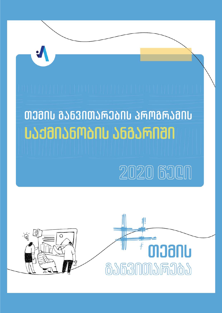

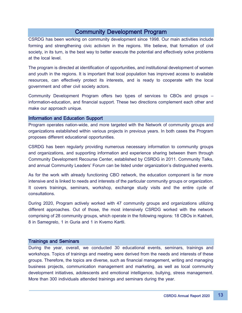# Community Development Program

CSRDG has been working on community development since 1998. Our main activities include forming and strengthening civic activism in the regions. We believe, that formation of civil society, in its turn, is the best way to better execute the potential and effectively solve problems at the local level.

The program is directed at identification of opportunities, and institutional development of women and youth in the regions. It is important that local population has improved access to available resources, can effectively protect its interests, and is ready to cooperate with the local government and other civil society actors.

Community Development Program offers two types of services to CBOs and groups – information-education, and financial support. These two directions complement each other and make our approach unique.

## Information and Education Support

Program operates nation-wide, and more targeted with the Network of community groups and organizations established within various projects in previous years. In both cases the Program proposes different educational opportunities.

CSRDG has been regularly providing numerous necessary information to community groups and organizations, and supporting information and experience sharing between them through Community Development Recourse Center, established by CSRDG in 2011. Community Talks, and annual Community Leaders' Forum can be listed under organization's distinguished events.

As for the work with already functioning CBO network, the education component is far more intensive and is linked to needs and interests of the particular community groups or organization. It covers trainings, seminars, workshop, exchange study visits and the entire cycle of consultations.

During 2020, Program actively worked with 47 community groups and organizations utilizing different approaches. Out of those, the most intensively CSRDG worked with the network comprising of 28 community groups, which operate in the following regions: 18 CBOs in Kakheti, 8 in Samegrelo, 1 in Guria and 1 in Kvemo Kartli.

## Trainings and Seminars

During the year, overall, we conducted 30 educational events, seminars, trainings and workshops. Topics of trainings and meeting were derived from the needs and interests of these groups. Therefore, the topics are diverse, such as financial management, writing and managing business projects, communication management and marketing, as well as local community development initiatives, adolescents and emotional intelligence, bullying, stress management. More than 300 individuals attended trainings and seminars during the year.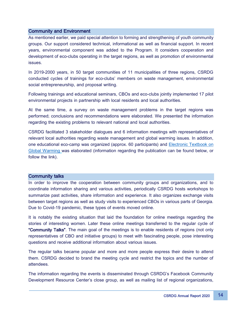# Community and Environment

As mentioned earlier, we paid special attention to forming and strengthening of youth community groups. Our support considered technical, informational as well as financial support. In recent years, environmental component was added to the Program. It considers cooperation and development of eco-clubs operating in the target regions, as well as promotion of environmental issues.

In 2019-2000 years, in 50 target communities of 11 municipalities of three regions, CSRDG conducted cycles of trainings for eco-clubs' members on waste management, environmental social entrepreneurship, and proposal writing.

Following trainings and educational seminars, CBOs and eco-clubs jointly implemented 17 pilot environmental projects in partnership with local residents and local authorities.

At the same time, a survey on waste management problems in the target regions was performed; conclusions and recommendations were elaborated. We presented the information regarding the existing problems to relevant national and local authorities.

CSRDG facilitated 3 stakeholder dialogues and 6 information meetings with representatives of relevant local authorities regarding waste management and global warming issues. In addition, one educational eco-camp was organized (approx. 60 participants) and [Electronic](https://drive.google.com/file/d/1SfUPjL6YInPXYs6lbANPDr7n1tkbkP9I/view?usp=sharing&fbclid=IwAR24W2BXVt-9T8xo_ZO-SH9Sfc23sRZAwMOZgPwQWp3YrGyZDDpuVzAQ8RY) Textbook on [Global Warming](https://drive.google.com/file/d/1SfUPjL6YInPXYs6lbANPDr7n1tkbkP9I/view?usp=sharing&fbclid=IwAR24W2BXVt-9T8xo_ZO-SH9Sfc23sRZAwMOZgPwQWp3YrGyZDDpuVzAQ8RY) was elaborated (information regarding the publication can be found below, or follow the link).

## Community talks

In order to improve the cooperation between community groups and organizations, and to coordinate information sharing and various activities, periodically CSRDG hosts workshops to summarize past activities, share information and experience. It also organizes exchange visits between target regions as well as study visits to experienced CBOs in various parts of Georgia. Due to Covid-19 pandemic, these types of events moved online.

It is notably the existing situation that laid the foundation for online meetings regarding the stories of interesting women. Later these online meetings transferred to the regular cycle of "Community Talks". The main goal of the meetings is to enable residents of regions (not only representatives of CBO and initiative groups) to meet with fascinating people, pose interesting questions and receive additional information about various issues.

The regular talks became popular and more and more people express their desire to attend them. CSRDG decided to brand the meeting cycle and restrict the topics and the number of attendees.

The information regarding the events is disseminated through CSRDG's Facebook Community Development Resource Center's close group, as well as mailing list of regional organizations,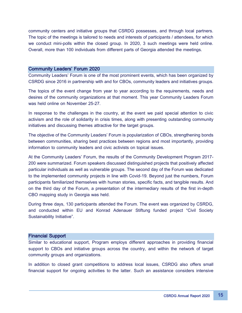community centers and initiative groups that CSRDG possesses, and through local partners. The topic of the meetings is tailored to needs and interests of participants / attendees, for which we conduct mini-polls within the closed group. In 2020, 3 such meetings were held online. Overall, more than 100 individuals from different parts of Georgia attended the meetings.

#### Community Leaders' Forum 2020

Community Leaders' Forum is one of the most prominent events, which has been organized by CSRDG since 2016 in partnership with and for CBOs, community leaders and initiatives groups.

The topics of the event change from year to year according to the requirements, needs and desires of the community organizations at that moment. This year Community Leaders Forum was held online on November 25-27.

In response to the challenges in the country, at the event we paid special attention to civic activism and the role of solidarity in crisis times, along with presenting outstanding community initiatives and discussing themes attractive for the target groups.

The objective of the Community Leaders' Forum is popularization of CBOs, strengthening bonds between communities, sharing best practices between regions and most importantly, providing information to community leaders and civic activists on topical issues.

At the Community Leaders' Forum, the results of the Community Development Program 2017- 200 were summarized. Forum speakers discussed distinguished projects that positively affected particular individuals as well as vulnerable groups. The second day of the Forum was dedicated to the implemented community projects in line with Covid-19. Beyond just the numbers, Forum participants familiarized themselves with human stories, specific facts, and tangible results. And on the third day of the Forum, a presentation of the intermediary results of the first in-depth CBO mapping study in Georgia was held.

During three days, 130 participants attended the Forum. The event was organized by CSRDG, and conducted within EU and Konrad Adenauer Stiftung funded project "Civil Society Sustainability Initiative".

#### Financial Support

Similar to educational support, Program employs different approaches in providing financial support to CBOs and initiative groups across the country, and within the network of target community groups and organizations.

In addition to closed grant competitions to address local issues, CSRDG also offers small financial support for ongoing activities to the latter. Such an assistance considers intensive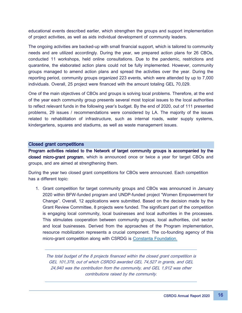educational events described earlier, which strengthen the groups and support implementation of project activities, as well as aids individual development of community leaders.

The ongoing activities are backed-up with small financial support, which is tailored to community needs and are utilized accordingly. During the year, we prepared action plans for 26 CBOs, conducted 11 workshops, held online consultations. Due to the pandemic, restrictions and quarantine, the elaborated action plans could not be fully implemented. However, community groups managed to amend action plans and spread the activities over the year. During the reporting period, community groups organized 223 events, which were attended by up to 7,000 individuals. Overall, 25 project were financed with the amount totaling GEL 70,029.

One of the main objectives of CBOs and groups is solving local problems. Therefore, at the end of the year each community group presents several most topical issues to the local authorities to reflect relevant funds in the following year's budget. By the end of 2020, out of 111 presented problems, 29 issues / recommendations were considered by LA. The majority of the issues related to rehabilitation of infrastructure, such as internal roads, water supply systems, kindergartens, squares and stadiums, as well as waste management issues.

#### Closed grant competitions

Program activities related to the Network of target community groups is accompanied by the closed micro-grant program, which is announced once or twice a year for target CBOs and groups, and are aimed at strengthening them.

During the year two closed grant competitions for CBOs were announced. Each competition has a different topic:

1. Grant competition for target community groups and CBOs was announced in January 2020 within BFW-funded program and UNDP-funded project "Women Empowerment for Change". Overall, 12 applications were submitted. Based on the decision made by the Grant Review Committee, 8 projects were funded. The significant part of the competition is engaging local community, local businesses and local authorities in the processes. This stimulates cooperation between community groups, local authorities, civil sector and local businesses. Derived from the approaches of the Program implementation, resource mobilization represents a crucial component. The co-founding agency of this micro-grant competition along with CSRDG is [Constanta Foundation.](https://www.facebook.com/ConstantaFoundation/?__cft__%5b0%5d=AZVA3X6QxbVo8Qjd6baAJLDLdHt3mbcNYoSU-j496htfdKCBManHOxn-P5kVBkZTOYnqaxdnFgoKxy4ZqOG_cEYyK_LgndLva7B4hfJTMQReueTreuYJGL-RS63Nr4ELzcNtVSOi7TOJyDv-CnlCUdtrGEo3HSUjSbAWOV1c1qIwEzcEtrnyf9GLlUrmr0ZFWhI&__tn__=kK-R)

The total budget of the 8 projects financed within the closed grant competition is GEL 101,379, out of which CSRDG awarded GEL 74,527 in grants, and GEL 24,940 was the contribution from the community, and GEL 1,912 was other contributions raised by the community.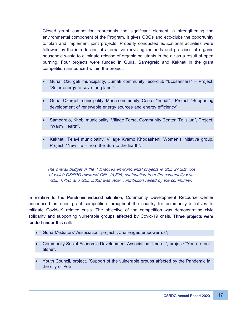- 1. Closed grant competition represents the significant element in strengthening the environmental component of the Program. It gives CBOs and eco-clubs the opportunity to plan and implement joint projects. Properly conducted educational activities were followed by the introduction of alternative recycling methods and practices of organic household waste to eliminate release of organic pollutants in the air as a result of open burning. Four projects were funded in Guria, Samegrelo and Kakheti in the grant competition announced within the project:
	- Guria, Ozurgeti municipality, Jumati community, eco-club "Ecosanitars" Project: "Solar energy to save the planet";
	- Guria, Ozurgeti municipality, Meria community, Center "Imedi" Project: "Supporting development of renewable energy sources and energy efficiency";
	- Samegrelo, Khobi municipality, Village Torsa, Community Center "Toliskuri", Project: "Warm Hearth";
	- Kakheti, Telavi municipality, Village Kvemo Khodasheni, Women's initiative group, Project: "New life – from the Sun to the Earth".

The overall budget of the 4 financed environmental projects is GEL 27,282, out of which CSRDG awarded GEL 18,625, contribution from the community was GEL 1,700, and GEL 3,328 was other contribution raised by the community.

In relation to the Pandemic-induced situation, Community Development Recourse Center announced an open grant competition throughout the country for community initiatives to mitigate Covid-19 related crisis. The objective of the competition was demonstrating civic solidarity and supporting vulnerable groups affected by Covid-19 crisis. Three projects were funded under this call:

- Guria Mediators' Association, project: "Challenges empower us";
- Community Social-Economic Development Association "Imereti", project: "You are not alone";
- Youth Council, project: "Support of the vulnerable groups affected by the Pandemic in the city of Poti"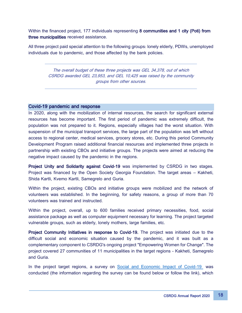Within the financed project, 177 individuals representing 8 communities and 1 city (Poti) from three municipalities received assistance.

All three project paid special attention to the following groups: lonely elderly, PDWs, unemployed individuals due to pandemic, and those affected by the bank policies.

> The overall budget of these three projects was GEL 34,378, out of which CSRDG awarded GEL 23,953, and GEL 10,425 was raised by the community groups from other sources.

# Covid-19 pandemic and response

In 2020, along with the mobilization of internal resources, the search for significant external resources has become important. The first period of pandemic was extremely difficult, the population was not prepared to it. Regions, especially villages had the worst situation. With suspension of the municipal transport services, the large part of the population was left without access to regional center, medical services, grocery stores, etc. During this period Community Development Program raised additional financial resources and implemented three projects in partnership with existing CBOs and initiative groups. The projects were aimed at reducing the negative impact caused by the pandemic in the regions.

Project Unity and Solidarity against Covid-19 was implemented by CSRDG in two stages. Project was financed by the Open Society Georgia Foundation. The target areas – Kakheti, Shida Kartli, Kvemo Kartli, Samegrelo and Guria.

Within the project, existing CBOs and initiative groups were mobilized and the network of volunteers was established. In the beginning, for safety reasons, a group of more than 70 volunteers was trained and instructed.

Within the project, overall, up to 600 families received primary necessities, food, social assistance package as well as computer equipment necessary for learning. The project targeted vulnerable groups, such as elderly, lonely mothers, large families, etc.

Project Community Initiatives in response to Covid-19. The project was initiated due to the difficult social and economic situation caused by the pandemic, and it was built as a complementary component to CSRDG's ongoing project "Empowering Women for Change". The project covered 27 communities of 11 municipalities in the target regions - Kakheti, Samegrelo and Guria.

In the project target regions, a survey on [Social and Economic Impact of Covid-19](https://drive.google.com/drive/folders/1pUw5jlxkRvul2h_XjHh4AN1dPBO8mc8W) was conducted (the information regarding the survey can be found below or follow the link), which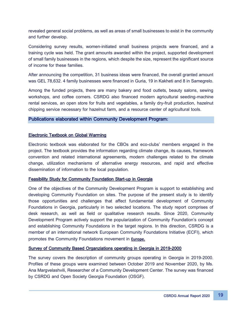revealed general social problems, as well as areas of small businesses to exist in the community and further develop.

Considering survey results, women-initiated small business projects were financed, and a training cycle was held. The grant amounts awarded within the project, supported development of small family businesses in the regions, which despite the size, represent the significant source of income for these families.

After announcing the competition, 31 business ideas were financed, the overall granted amount was GEL 78,632. 4 family businesses were financed in Guria, 19 in Kakheti and 8 in Samegrelo.

Among the funded projects, there are many bakery and food outlets, beauty salons, sewing workshops, and coffee corners. CSRDG also financed modern agricultural seeding-machine rental services, an open store for fruits and vegetables, a family dry-fruit production, hazelnut chipping service necessary for hazelnut farm, and a resource center of agricultural tools.

# Publications elaborated within Community Development Program:

# [Electronic Textbook on Global Warming](https://drive.google.com/file/d/1SfUPjL6YInPXYs6lbANPDr7n1tkbkP9I/view?usp=sharing&fbclid=IwAR24W2BXVt-9T8xo_ZO-SH9Sfc23sRZAwMOZgPwQWp3YrGyZDDpuVzAQ8RY)

Electronic textbook was elaborated for the CBOs and eco-clubs' members engaged in the project. The textbook provides the information regarding climate change, its causes, framework convention and related international agreements, modern challenges related to the climate change, utilization mechanisms of alternative energy resources, and rapid and effective dissemination of information to the local population.

## [Feasibility Study for Community Foundation Start-up in Georgia](https://drive.google.com/drive/folders/1pUw5jlxkRvul2h_XjHh4AN1dPBO8mc8W)

One of the objectives of the Community Development Program is support to establishing and developing Community Foundation on sites. The purpose of the present study is to identify those opportunities and challenges that affect fundamental development of Community Foundations in Georgia, particularly in two selected locations. The study report comprises of desk research, as well as field or qualitative research results. Since 2020, Community Development Program actively support the popularization of Community Foundation's concept and establishing Community Foundations in the target regions. In this direction, CSRDG is a member of an international network European Community Foundations Initiative (ECFI), which promotes the Community Foundations movement in **Europe.** 

## [Survey of Community Based Organziations operating in Georgia in 2019-2000](https://drive.google.com/drive/folders/1pUw5jlxkRvul2h_XjHh4AN1dPBO8mc8W)

The survey covers the description of community groups operating in Georgia in 2019-2000. Profiles of these groups were examined between October 2019 and November 2020, by Ms. Ana Margvelashvili, Researcher of a Community Development Center. The survey was financed by CSRDG and Open Society Georgia Foundation (OSGF).